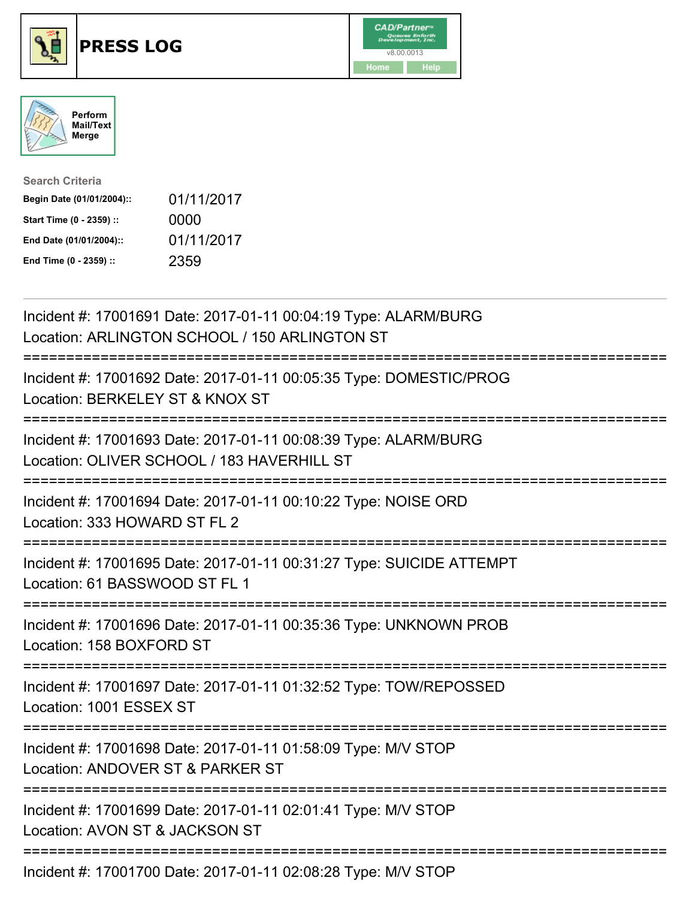





| <b>Search Criteria</b>    |            |
|---------------------------|------------|
| Begin Date (01/01/2004):: | 01/11/2017 |
| Start Time (0 - 2359) ::  | 0000       |
| End Date (01/01/2004)::   | 01/11/2017 |
| End Time (0 - 2359) ::    | 2359       |

| Incident #: 17001691 Date: 2017-01-11 00:04:19 Type: ALARM/BURG<br>Location: ARLINGTON SCHOOL / 150 ARLINGTON ST                   |
|------------------------------------------------------------------------------------------------------------------------------------|
| Incident #: 17001692 Date: 2017-01-11 00:05:35 Type: DOMESTIC/PROG<br>Location: BERKELEY ST & KNOX ST                              |
| Incident #: 17001693 Date: 2017-01-11 00:08:39 Type: ALARM/BURG<br>Location: OLIVER SCHOOL / 183 HAVERHILL ST                      |
| Incident #: 17001694 Date: 2017-01-11 00:10:22 Type: NOISE ORD<br>Location: 333 HOWARD ST FL 2                                     |
| Incident #: 17001695 Date: 2017-01-11 00:31:27 Type: SUICIDE ATTEMPT<br>Location: 61 BASSWOOD ST FL 1<br>========================= |
| Incident #: 17001696 Date: 2017-01-11 00:35:36 Type: UNKNOWN PROB<br>Location: 158 BOXFORD ST                                      |
| Incident #: 17001697 Date: 2017-01-11 01:32:52 Type: TOW/REPOSSED<br>Location: 1001 ESSEX ST                                       |
| Incident #: 17001698 Date: 2017-01-11 01:58:09 Type: M/V STOP<br>Location: ANDOVER ST & PARKER ST                                  |
| Incident #: 17001699 Date: 2017-01-11 02:01:41 Type: M/V STOP<br>Location: AVON ST & JACKSON ST                                    |
| $1.11.1$ $1.1.4700.1700$ $1.00.17.01.11.00.00.00$ $T$ $1.11.070$                                                                   |

Incident #: 17001700 Date: 2017-01-11 02:08:28 Type: M/V STOP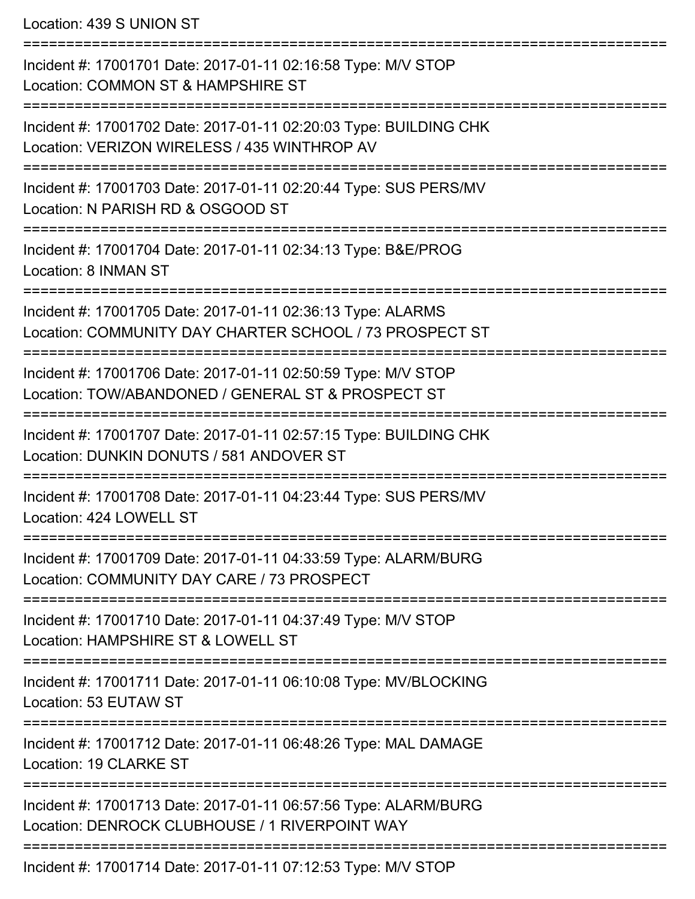Location: 439 S UNION ST

=========================================================================== Incident #: 17001701 Date: 2017-01-11 02:16:58 Type: M/V STOP Location: COMMON ST & HAMPSHIRE ST =========================================================================== Incident #: 17001702 Date: 2017-01-11 02:20:03 Type: BUILDING CHK Location: VERIZON WIRELESS / 435 WINTHROP AV =========================================================================== Incident #: 17001703 Date: 2017-01-11 02:20:44 Type: SUS PERS/MV Location: N PARISH RD & OSGOOD ST =========================================================================== Incident #: 17001704 Date: 2017-01-11 02:34:13 Type: B&E/PROG Location: 8 INMAN ST =========================================================================== Incident #: 17001705 Date: 2017-01-11 02:36:13 Type: ALARMS Location: COMMUNITY DAY CHARTER SCHOOL / 73 PROSPECT ST =========================================================================== Incident #: 17001706 Date: 2017-01-11 02:50:59 Type: M/V STOP Location: TOW/ABANDONED / GENERAL ST & PROSPECT ST =========================================================================== Incident #: 17001707 Date: 2017-01-11 02:57:15 Type: BUILDING CHK Location: DUNKIN DONUTS / 581 ANDOVER ST =========================================================================== Incident #: 17001708 Date: 2017-01-11 04:23:44 Type: SUS PERS/MV Location: 424 LOWELL ST =========================================================================== Incident #: 17001709 Date: 2017-01-11 04:33:59 Type: ALARM/BURG Location: COMMUNITY DAY CARE / 73 PROSPECT =========================================================================== Incident #: 17001710 Date: 2017-01-11 04:37:49 Type: M/V STOP Location: HAMPSHIRE ST & LOWELL ST =========================================================================== Incident #: 17001711 Date: 2017-01-11 06:10:08 Type: MV/BLOCKING Location: 53 EUTAW ST =========================================================================== Incident #: 17001712 Date: 2017-01-11 06:48:26 Type: MAL DAMAGE Location: 19 CLARKE ST =========================================================================== Incident #: 17001713 Date: 2017-01-11 06:57:56 Type: ALARM/BURG Location: DENROCK CLUBHOUSE / 1 RIVERPOINT WAY =========================================================================== Incident #: 17001714 Date: 2017-01-11 07:12:53 Type: M/V STOP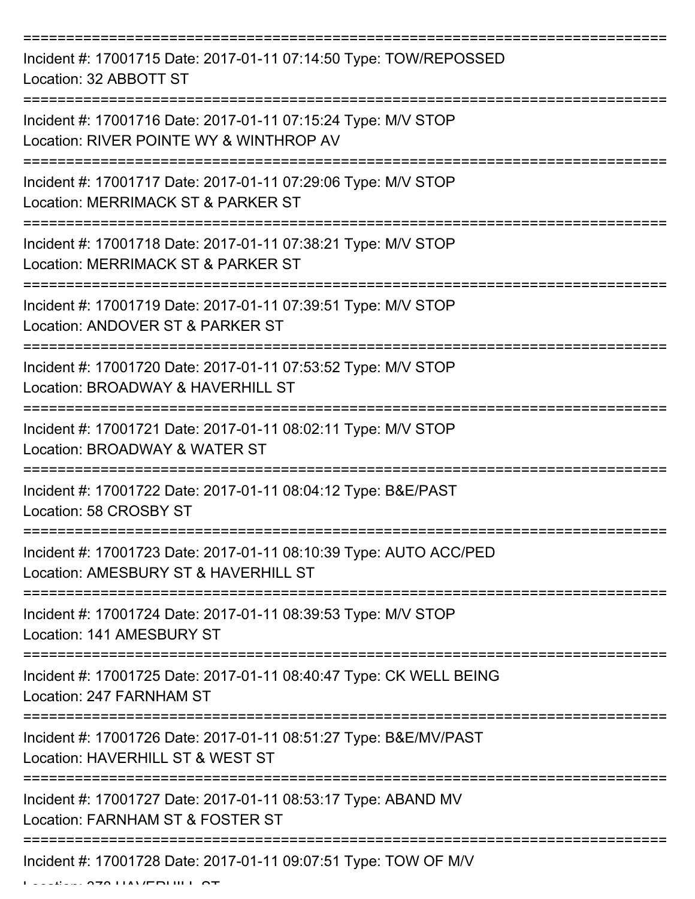=========================================================================== Incident #: 17001715 Date: 2017-01-11 07:14:50 Type: TOW/REPOSSED Location: 32 ABBOTT ST =========================================================================== Incident #: 17001716 Date: 2017-01-11 07:15:24 Type: M/V STOP Location: RIVER POINTE WY & WINTHROP AV =========================================================================== Incident #: 17001717 Date: 2017-01-11 07:29:06 Type: M/V STOP Location: MERRIMACK ST & PARKER ST =========================================================================== Incident #: 17001718 Date: 2017-01-11 07:38:21 Type: M/V STOP Location: MERRIMACK ST & PARKER ST =========================================================================== Incident #: 17001719 Date: 2017-01-11 07:39:51 Type: M/V STOP Location: ANDOVER ST & PARKER ST =========================================================================== Incident #: 17001720 Date: 2017-01-11 07:53:52 Type: M/V STOP Location: BROADWAY & HAVERHILL ST =========================================================================== Incident #: 17001721 Date: 2017-01-11 08:02:11 Type: M/V STOP Location: BROADWAY & WATER ST =========================================================================== Incident #: 17001722 Date: 2017-01-11 08:04:12 Type: B&E/PAST Location: 58 CROSBY ST =========================================================================== Incident #: 17001723 Date: 2017-01-11 08:10:39 Type: AUTO ACC/PED Location: AMESBURY ST & HAVERHILL ST =========================================================================== Incident #: 17001724 Date: 2017-01-11 08:39:53 Type: M/V STOP Location: 141 AMESBURY ST =========================================================================== Incident #: 17001725 Date: 2017-01-11 08:40:47 Type: CK WELL BEING Location: 247 FARNHAM ST =========================================================================== Incident #: 17001726 Date: 2017-01-11 08:51:27 Type: B&E/MV/PAST Location: HAVERHILL ST & WEST ST =========================================================================== Incident #: 17001727 Date: 2017-01-11 08:53:17 Type: ABAND MV Location: FARNHAM ST & FOSTER ST =========================================================================== Incident #: 17001728 Date: 2017-01-11 09:07:51 Type: TOW OF M/V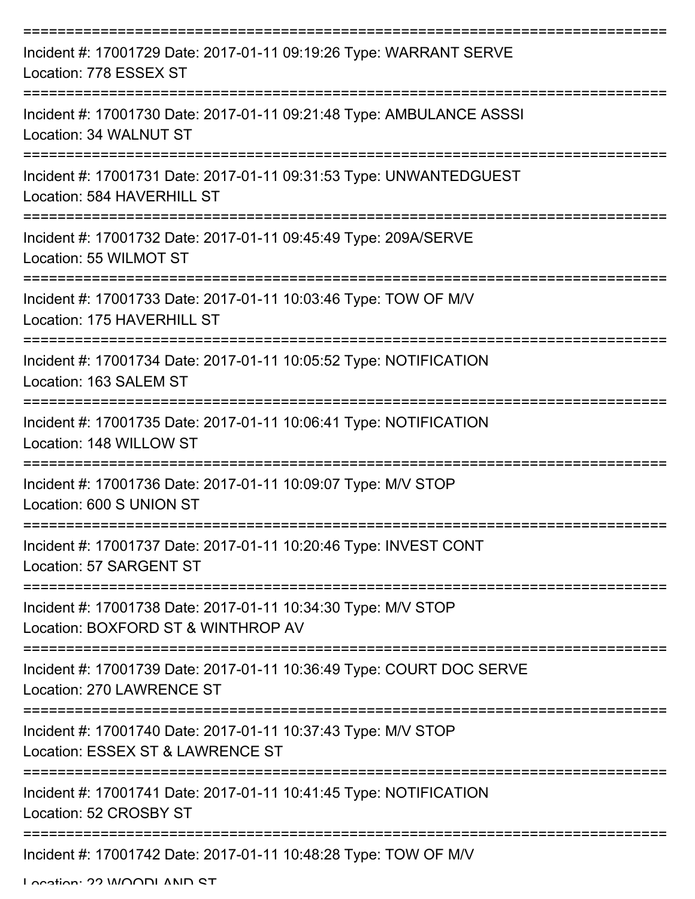| Incident #: 17001729 Date: 2017-01-11 09:19:26 Type: WARRANT SERVE<br>Location: 778 ESSEX ST        |
|-----------------------------------------------------------------------------------------------------|
| Incident #: 17001730 Date: 2017-01-11 09:21:48 Type: AMBULANCE ASSSI<br>Location: 34 WALNUT ST      |
| Incident #: 17001731 Date: 2017-01-11 09:31:53 Type: UNWANTEDGUEST<br>Location: 584 HAVERHILL ST    |
| Incident #: 17001732 Date: 2017-01-11 09:45:49 Type: 209A/SERVE<br>Location: 55 WILMOT ST           |
| Incident #: 17001733 Date: 2017-01-11 10:03:46 Type: TOW OF M/V<br>Location: 175 HAVERHILL ST       |
| Incident #: 17001734 Date: 2017-01-11 10:05:52 Type: NOTIFICATION<br>Location: 163 SALEM ST         |
| Incident #: 17001735 Date: 2017-01-11 10:06:41 Type: NOTIFICATION<br>Location: 148 WILLOW ST        |
| Incident #: 17001736 Date: 2017-01-11 10:09:07 Type: M/V STOP<br>Location: 600 S UNION ST           |
| Incident #: 17001737 Date: 2017-01-11 10:20:46 Type: INVEST CONT<br>Location: 57 SARGENT ST         |
| Incident #: 17001738 Date: 2017-01-11 10:34:30 Type: M/V STOP<br>Location: BOXFORD ST & WINTHROP AV |
| Incident #: 17001739 Date: 2017-01-11 10:36:49 Type: COURT DOC SERVE<br>Location: 270 LAWRENCE ST   |
| Incident #: 17001740 Date: 2017-01-11 10:37:43 Type: M/V STOP<br>Location: ESSEX ST & LAWRENCE ST   |
| Incident #: 17001741 Date: 2017-01-11 10:41:45 Type: NOTIFICATION<br>Location: 52 CROSBY ST         |
| Incident #: 17001742 Date: 2017-01-11 10:48:28 Type: TOW OF M/V                                     |

Location: 22 WOODLAND ST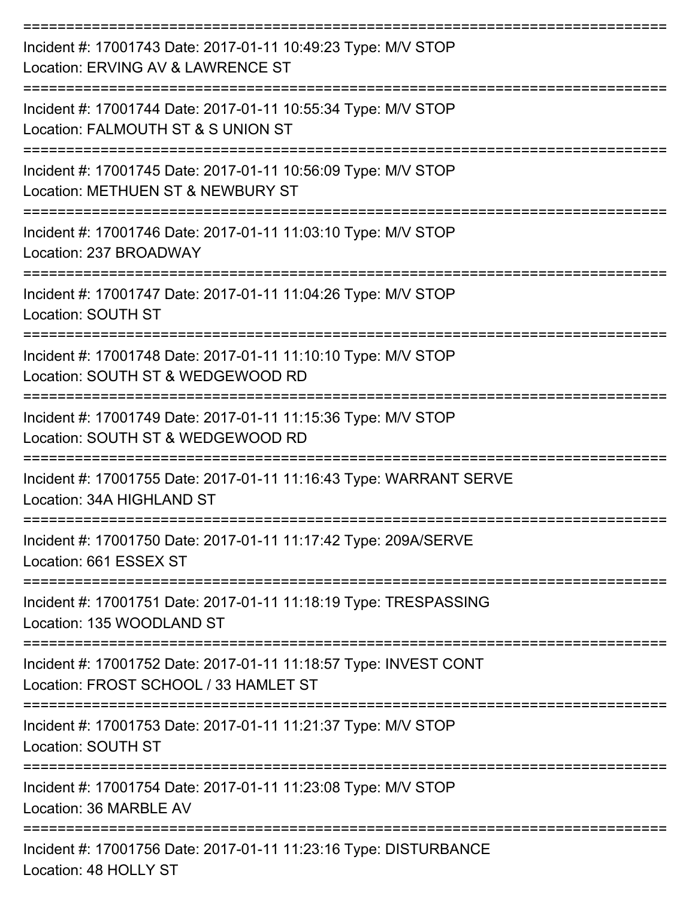| Incident #: 17001743 Date: 2017-01-11 10:49:23 Type: M/V STOP<br>Location: ERVING AV & LAWRENCE ST                                    |
|---------------------------------------------------------------------------------------------------------------------------------------|
| Incident #: 17001744 Date: 2017-01-11 10:55:34 Type: M/V STOP<br>Location: FALMOUTH ST & S UNION ST                                   |
| Incident #: 17001745 Date: 2017-01-11 10:56:09 Type: M/V STOP<br>Location: METHUEN ST & NEWBURY ST                                    |
| Incident #: 17001746 Date: 2017-01-11 11:03:10 Type: M/V STOP<br>Location: 237 BROADWAY                                               |
| Incident #: 17001747 Date: 2017-01-11 11:04:26 Type: M/V STOP<br><b>Location: SOUTH ST</b>                                            |
| Incident #: 17001748 Date: 2017-01-11 11:10:10 Type: M/V STOP<br>Location: SOUTH ST & WEDGEWOOD RD                                    |
| Incident #: 17001749 Date: 2017-01-11 11:15:36 Type: M/V STOP<br>Location: SOUTH ST & WEDGEWOOD RD                                    |
| Incident #: 17001755 Date: 2017-01-11 11:16:43 Type: WARRANT SERVE<br>Location: 34A HIGHLAND ST                                       |
| Incident #: 17001750 Date: 2017-01-11 11:17:42 Type: 209A/SERVE<br>Location: 661 ESSEX ST                                             |
| Incident #: 17001751 Date: 2017-01-11 11:18:19 Type: TRESPASSING<br>Location: 135 WOODLAND ST                                         |
| ========================<br>Incident #: 17001752 Date: 2017-01-11 11:18:57 Type: INVEST CONT<br>Location: FROST SCHOOL / 33 HAMLET ST |
| Incident #: 17001753 Date: 2017-01-11 11:21:37 Type: M/V STOP<br>Location: SOUTH ST                                                   |
| Incident #: 17001754 Date: 2017-01-11 11:23:08 Type: M/V STOP<br>Location: 36 MARBLE AV                                               |
| Incident #: 17001756 Date: 2017-01-11 11:23:16 Type: DISTURBANCE<br>Location: 48 HOLLY ST                                             |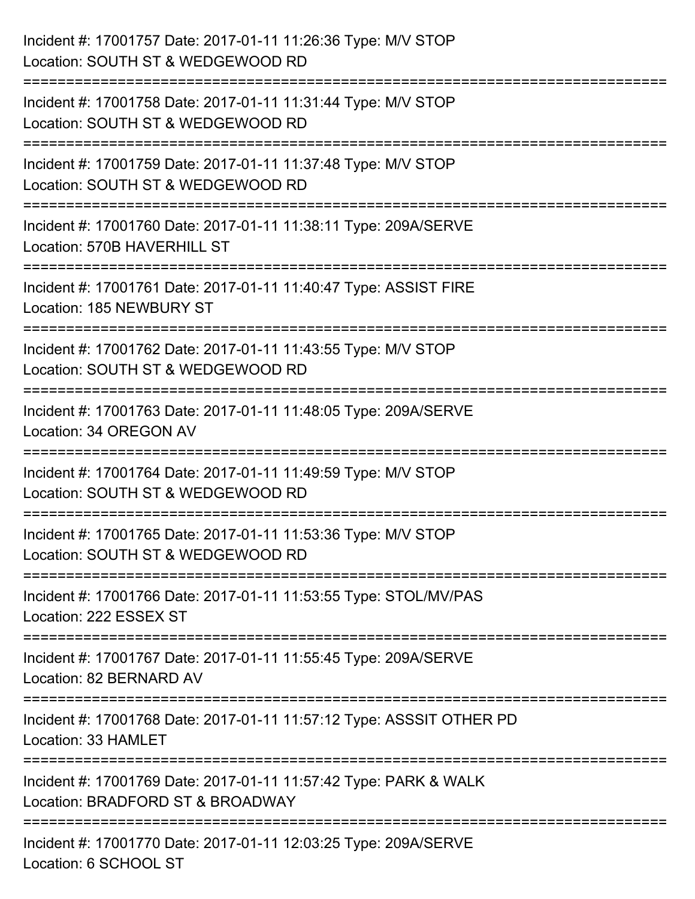| Incident #: 17001757 Date: 2017-01-11 11:26:36 Type: M/V STOP<br>Location: SOUTH ST & WEDGEWOOD RD                         |
|----------------------------------------------------------------------------------------------------------------------------|
| Incident #: 17001758 Date: 2017-01-11 11:31:44 Type: M/V STOP<br>Location: SOUTH ST & WEDGEWOOD RD                         |
| Incident #: 17001759 Date: 2017-01-11 11:37:48 Type: M/V STOP<br>Location: SOUTH ST & WEDGEWOOD RD<br>==================== |
| Incident #: 17001760 Date: 2017-01-11 11:38:11 Type: 209A/SERVE<br>Location: 570B HAVERHILL ST<br>======================   |
| Incident #: 17001761 Date: 2017-01-11 11:40:47 Type: ASSIST FIRE<br>Location: 185 NEWBURY ST                               |
| Incident #: 17001762 Date: 2017-01-11 11:43:55 Type: M/V STOP<br>Location: SOUTH ST & WEDGEWOOD RD                         |
| :=====================<br>Incident #: 17001763 Date: 2017-01-11 11:48:05 Type: 209A/SERVE<br>Location: 34 OREGON AV        |
| Incident #: 17001764 Date: 2017-01-11 11:49:59 Type: M/V STOP<br>Location: SOUTH ST & WEDGEWOOD RD                         |
| Incident #: 17001765 Date: 2017-01-11 11:53:36 Type: M/V STOP<br>Location: SOUTH ST & WEDGEWOOD RD                         |
| Incident #: 17001766 Date: 2017-01-11 11:53:55 Type: STOL/MV/PAS<br>Location: 222 ESSEX ST                                 |
| Incident #: 17001767 Date: 2017-01-11 11:55:45 Type: 209A/SERVE<br>Location: 82 BERNARD AV                                 |
| Incident #: 17001768 Date: 2017-01-11 11:57:12 Type: ASSSIT OTHER PD<br>Location: 33 HAMLET                                |
| Incident #: 17001769 Date: 2017-01-11 11:57:42 Type: PARK & WALK<br>Location: BRADFORD ST & BROADWAY                       |
| Incident #: 17001770 Date: 2017-01-11 12:03:25 Type: 209A/SERVE<br>Location: 6 SCHOOL ST                                   |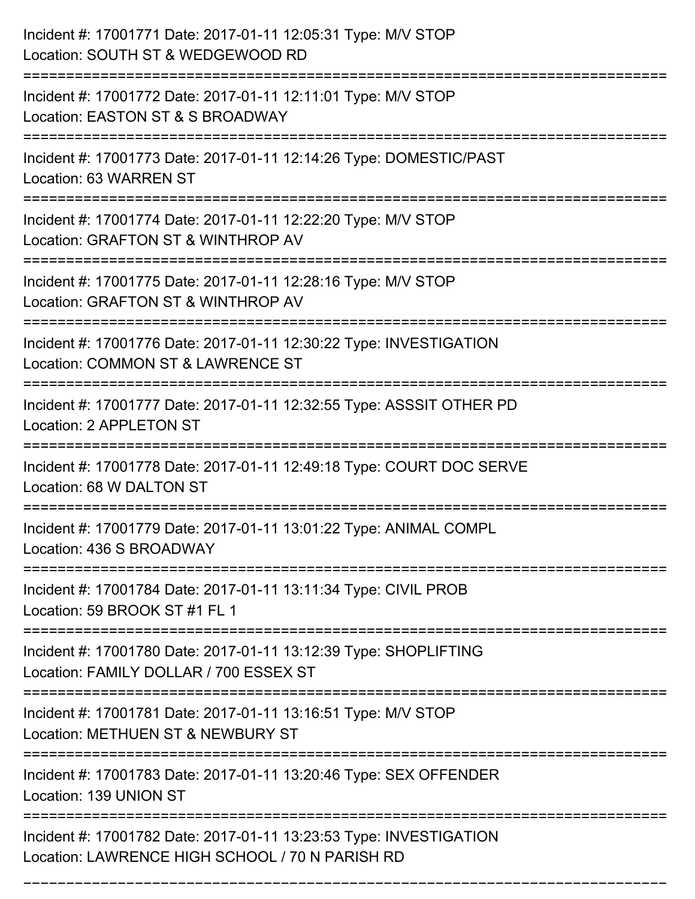| Incident #: 17001771 Date: 2017-01-11 12:05:31 Type: M/V STOP<br>Location: SOUTH ST & WEDGEWOOD RD                                 |
|------------------------------------------------------------------------------------------------------------------------------------|
| :============================<br>Incident #: 17001772 Date: 2017-01-11 12:11:01 Type: M/V STOP<br>Location: EASTON ST & S BROADWAY |
| Incident #: 17001773 Date: 2017-01-11 12:14:26 Type: DOMESTIC/PAST<br>Location: 63 WARREN ST                                       |
| Incident #: 17001774 Date: 2017-01-11 12:22:20 Type: M/V STOP<br>Location: GRAFTON ST & WINTHROP AV                                |
| Incident #: 17001775 Date: 2017-01-11 12:28:16 Type: M/V STOP<br>Location: GRAFTON ST & WINTHROP AV                                |
| Incident #: 17001776 Date: 2017-01-11 12:30:22 Type: INVESTIGATION<br>Location: COMMON ST & LAWRENCE ST<br>======================  |
| Incident #: 17001777 Date: 2017-01-11 12:32:55 Type: ASSSIT OTHER PD<br>Location: 2 APPLETON ST<br>-------------------------       |
| Incident #: 17001778 Date: 2017-01-11 12:49:18 Type: COURT DOC SERVE<br>Location: 68 W DALTON ST                                   |
| Incident #: 17001779 Date: 2017-01-11 13:01:22 Type: ANIMAL COMPL<br>Location: 436 S BROADWAY                                      |
| Incident #: 17001784 Date: 2017-01-11 13:11:34 Type: CIVIL PROB<br>Location: 59 BROOK ST #1 FL 1                                   |
| Incident #: 17001780 Date: 2017-01-11 13:12:39 Type: SHOPLIFTING<br>Location: FAMILY DOLLAR / 700 ESSEX ST                         |
| Incident #: 17001781 Date: 2017-01-11 13:16:51 Type: M/V STOP<br>Location: METHUEN ST & NEWBURY ST                                 |
| Incident #: 17001783 Date: 2017-01-11 13:20:46 Type: SEX OFFENDER<br>Location: 139 UNION ST                                        |
| Incident #: 17001782 Date: 2017-01-11 13:23:53 Type: INVESTIGATION<br>Location: LAWRENCE HIGH SCHOOL / 70 N PARISH RD              |

===========================================================================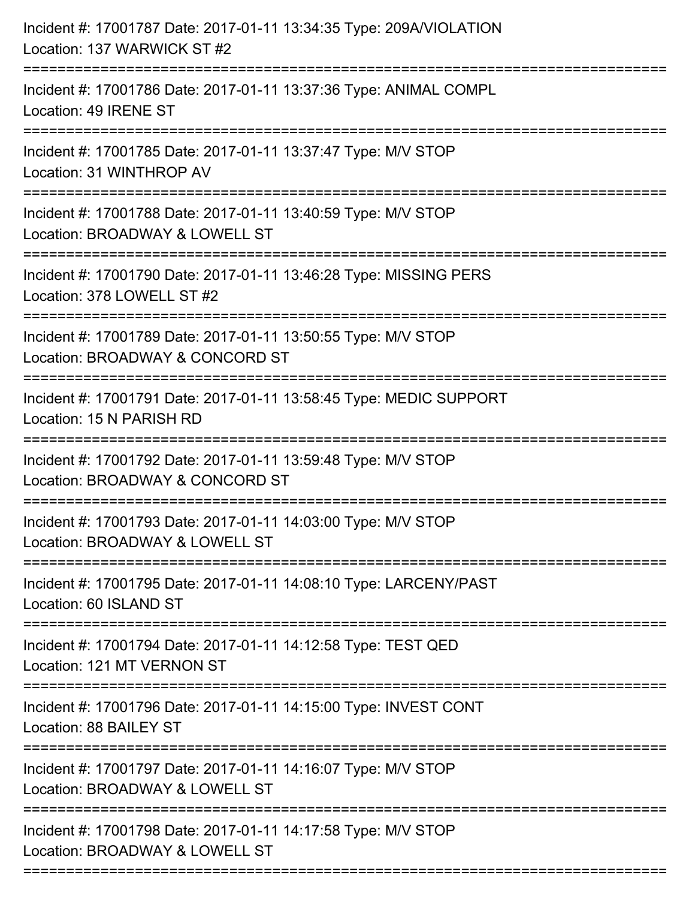| Incident #: 17001787 Date: 2017-01-11 13:34:35 Type: 209A/VIOLATION<br>Location: 137 WARWICK ST #2                                 |
|------------------------------------------------------------------------------------------------------------------------------------|
| Incident #: 17001786 Date: 2017-01-11 13:37:36 Type: ANIMAL COMPL<br>Location: 49 IRENE ST                                         |
| Incident #: 17001785 Date: 2017-01-11 13:37:47 Type: M/V STOP<br>Location: 31 WINTHROP AV                                          |
| Incident #: 17001788 Date: 2017-01-11 13:40:59 Type: M/V STOP<br>Location: BROADWAY & LOWELL ST                                    |
| Incident #: 17001790 Date: 2017-01-11 13:46:28 Type: MISSING PERS<br>Location: 378 LOWELL ST #2                                    |
| Incident #: 17001789 Date: 2017-01-11 13:50:55 Type: M/V STOP<br>Location: BROADWAY & CONCORD ST                                   |
| Incident #: 17001791 Date: 2017-01-11 13:58:45 Type: MEDIC SUPPORT<br>Location: 15 N PARISH RD<br>================================ |
| Incident #: 17001792 Date: 2017-01-11 13:59:48 Type: M/V STOP<br>Location: BROADWAY & CONCORD ST                                   |
| Incident #: 17001793 Date: 2017-01-11 14:03:00 Type: M/V STOP<br>Location: BROADWAY & LOWELL ST                                    |
| Incident #: 17001795 Date: 2017-01-11 14:08:10 Type: LARCENY/PAST<br>Location: 60 ISLAND ST                                        |
| Incident #: 17001794 Date: 2017-01-11 14:12:58 Type: TEST QED<br>Location: 121 MT VERNON ST                                        |
| Incident #: 17001796 Date: 2017-01-11 14:15:00 Type: INVEST CONT<br>Location: 88 BAILEY ST                                         |
| Incident #: 17001797 Date: 2017-01-11 14:16:07 Type: M/V STOP<br>Location: BROADWAY & LOWELL ST                                    |
| Incident #: 17001798 Date: 2017-01-11 14:17:58 Type: M/V STOP<br>Location: BROADWAY & LOWELL ST                                    |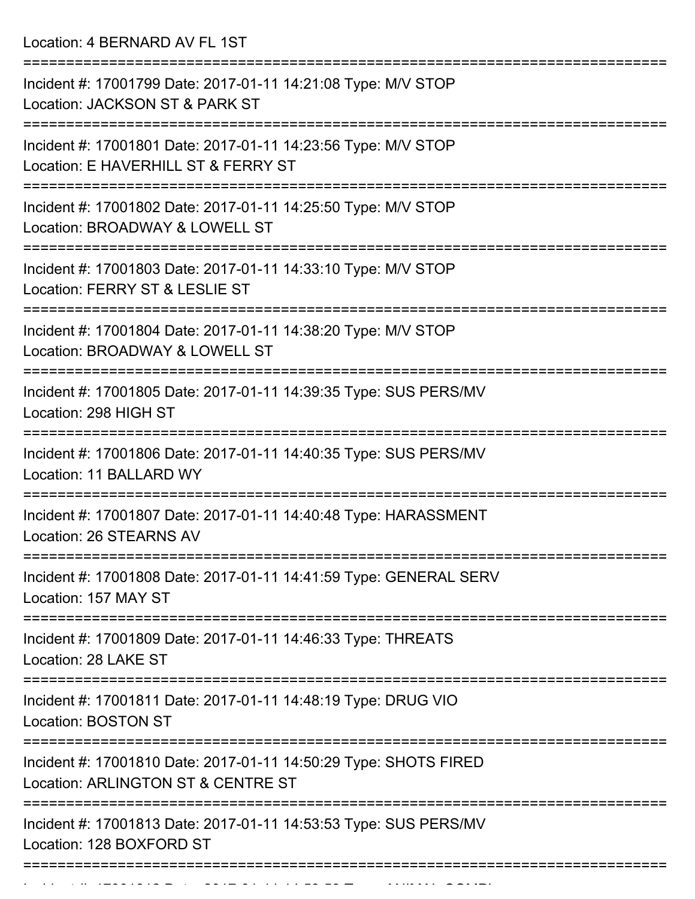Location: 4 BERNARD AV FL 1ST

| Incident #: 17001799 Date: 2017-01-11 14:21:08 Type: M/V STOP<br>Location: JACKSON ST & PARK ST                                  |
|----------------------------------------------------------------------------------------------------------------------------------|
| Incident #: 17001801 Date: 2017-01-11 14:23:56 Type: M/V STOP<br>Location: E HAVERHILL ST & FERRY ST                             |
| Incident #: 17001802 Date: 2017-01-11 14:25:50 Type: M/V STOP<br>Location: BROADWAY & LOWELL ST                                  |
| Incident #: 17001803 Date: 2017-01-11 14:33:10 Type: M/V STOP<br>Location: FERRY ST & LESLIE ST                                  |
| Incident #: 17001804 Date: 2017-01-11 14:38:20 Type: M/V STOP<br>Location: BROADWAY & LOWELL ST                                  |
| ==================<br>Incident #: 17001805 Date: 2017-01-11 14:39:35 Type: SUS PERS/MV<br>Location: 298 HIGH ST                  |
| Incident #: 17001806 Date: 2017-01-11 14:40:35 Type: SUS PERS/MV<br>Location: 11 BALLARD WY                                      |
| Incident #: 17001807 Date: 2017-01-11 14:40:48 Type: HARASSMENT<br><b>Location: 26 STEARNS AV</b>                                |
| Incident #: 17001808 Date: 2017-01-11 14:41:59 Type: GENERAL SERV<br>Location: 157 MAY ST                                        |
| Incident #: 17001809 Date: 2017-01-11 14:46:33 Type: THREATS<br>Location: 28 LAKE ST                                             |
| Incident #: 17001811 Date: 2017-01-11 14:48:19 Type: DRUG VIO<br>Location: BOSTON ST                                             |
| ======================<br>Incident #: 17001810 Date: 2017-01-11 14:50:29 Type: SHOTS FIRED<br>Location: ARLINGTON ST & CENTRE ST |
| Incident #: 17001813 Date: 2017-01-11 14:53:53 Type: SUS PERS/MV<br>Location: 128 BOXFORD ST                                     |
|                                                                                                                                  |

Incident #: 17001812 Date: 2017 01 11 14:53:59 Type: ANIMAL COMPL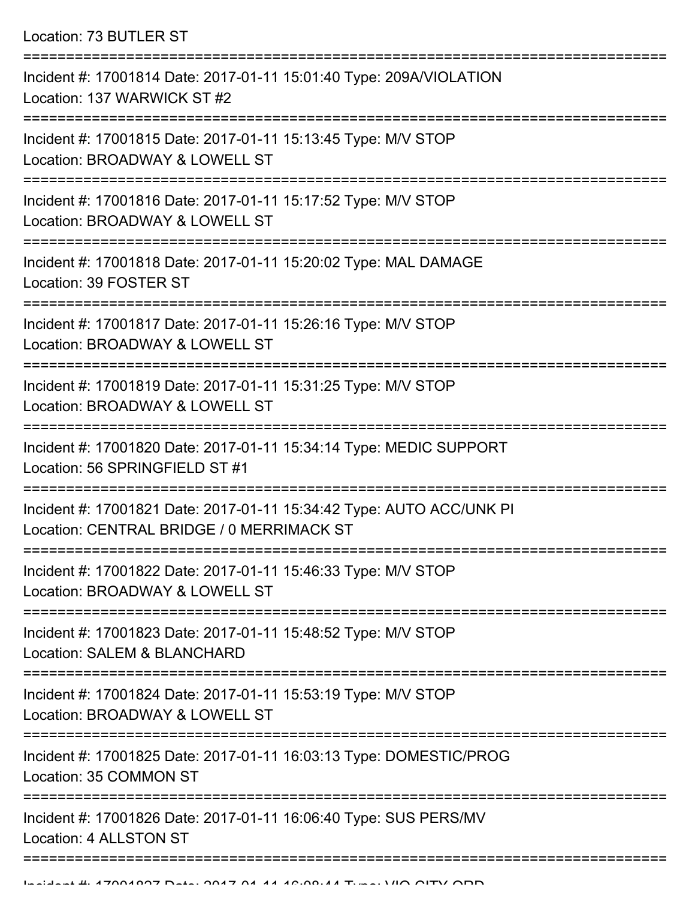Location: 73 BUTLER ST

| Incident #: 17001814 Date: 2017-01-11 15:01:40 Type: 209A/VIOLATION<br>Location: 137 WARWICK ST #2                |
|-------------------------------------------------------------------------------------------------------------------|
| Incident #: 17001815 Date: 2017-01-11 15:13:45 Type: M/V STOP<br>Location: BROADWAY & LOWELL ST                   |
| Incident #: 17001816 Date: 2017-01-11 15:17:52 Type: M/V STOP<br>Location: BROADWAY & LOWELL ST                   |
| Incident #: 17001818 Date: 2017-01-11 15:20:02 Type: MAL DAMAGE<br>Location: 39 FOSTER ST                         |
| Incident #: 17001817 Date: 2017-01-11 15:26:16 Type: M/V STOP<br>Location: BROADWAY & LOWELL ST                   |
| Incident #: 17001819 Date: 2017-01-11 15:31:25 Type: M/V STOP<br>Location: BROADWAY & LOWELL ST                   |
| Incident #: 17001820 Date: 2017-01-11 15:34:14 Type: MEDIC SUPPORT<br>Location: 56 SPRINGFIELD ST #1              |
| Incident #: 17001821 Date: 2017-01-11 15:34:42 Type: AUTO ACC/UNK PI<br>Location: CENTRAL BRIDGE / 0 MERRIMACK ST |
| Incident #: 17001822 Date: 2017-01-11 15:46:33 Type: M/V STOP<br>Location: BROADWAY & LOWELL ST                   |
| Incident #: 17001823 Date: 2017-01-11 15:48:52 Type: M/V STOP<br>Location: SALEM & BLANCHARD                      |
| Incident #: 17001824 Date: 2017-01-11 15:53:19 Type: M/V STOP<br>Location: BROADWAY & LOWELL ST                   |
| Incident #: 17001825 Date: 2017-01-11 16:03:13 Type: DOMESTIC/PROG<br>Location: 35 COMMON ST                      |
| Incident #: 17001826 Date: 2017-01-11 16:06:40 Type: SUS PERS/MV<br>Location: 4 ALLSTON ST                        |
|                                                                                                                   |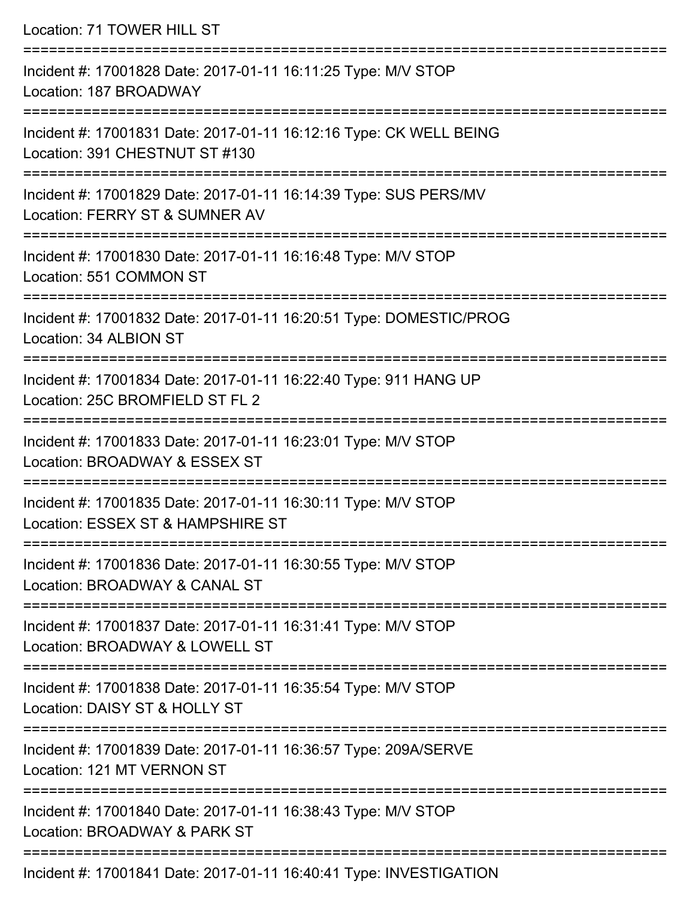| Location: 71 TOWER HILL ST                                                                                                           |
|--------------------------------------------------------------------------------------------------------------------------------------|
| Incident #: 17001828 Date: 2017-01-11 16:11:25 Type: M/V STOP<br>Location: 187 BROADWAY                                              |
| Incident #: 17001831 Date: 2017-01-11 16:12:16 Type: CK WELL BEING<br>Location: 391 CHESTNUT ST #130                                 |
| Incident #: 17001829 Date: 2017-01-11 16:14:39 Type: SUS PERS/MV<br>Location: FERRY ST & SUMNER AV<br>;============================= |
| Incident #: 17001830 Date: 2017-01-11 16:16:48 Type: M/V STOP<br>Location: 551 COMMON ST                                             |
| Incident #: 17001832 Date: 2017-01-11 16:20:51 Type: DOMESTIC/PROG<br>Location: 34 ALBION ST                                         |
| Incident #: 17001834 Date: 2017-01-11 16:22:40 Type: 911 HANG UP<br>Location: 25C BROMFIELD ST FL 2                                  |
| Incident #: 17001833 Date: 2017-01-11 16:23:01 Type: M/V STOP<br>Location: BROADWAY & ESSEX ST                                       |
| Incident #: 17001835 Date: 2017-01-11 16:30:11 Type: M/V STOP<br>Location: ESSEX ST & HAMPSHIRE ST                                   |
| Incident #: 17001836 Date: 2017-01-11 16:30:55 Type: M/V STOP<br>Location: BROADWAY & CANAL ST                                       |
| Incident #: 17001837 Date: 2017-01-11 16:31:41 Type: M/V STOP<br>Location: BROADWAY & LOWELL ST                                      |
| Incident #: 17001838 Date: 2017-01-11 16:35:54 Type: M/V STOP<br>Location: DAISY ST & HOLLY ST                                       |
| Incident #: 17001839 Date: 2017-01-11 16:36:57 Type: 209A/SERVE<br>Location: 121 MT VERNON ST                                        |
| Incident #: 17001840 Date: 2017-01-11 16:38:43 Type: M/V STOP<br>Location: BROADWAY & PARK ST                                        |
|                                                                                                                                      |

Incident #: 17001841 Date: 2017-01-11 16:40:41 Type: INVESTIGATION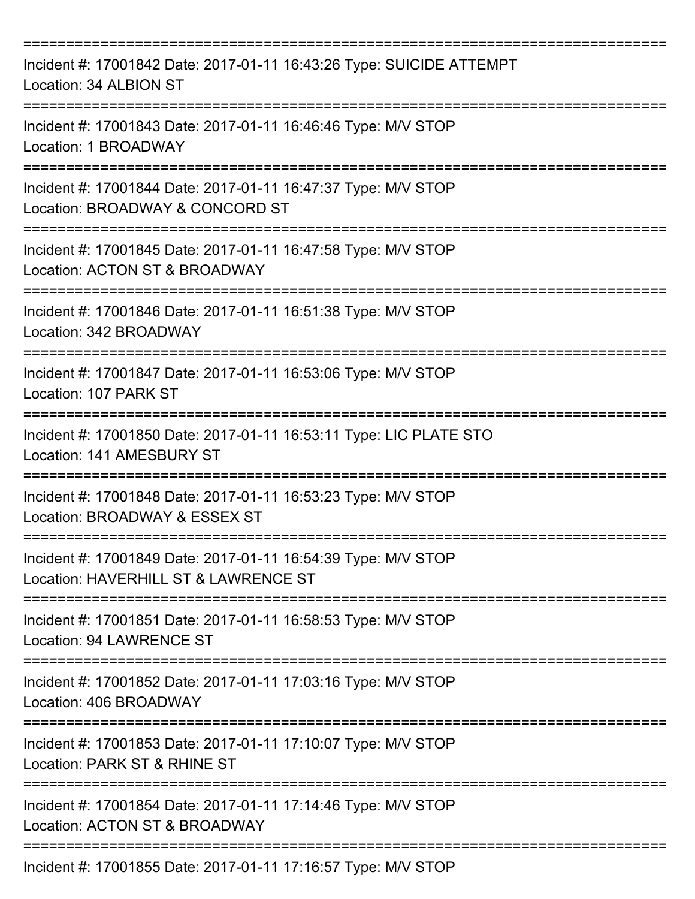| Incident #: 17001842 Date: 2017-01-11 16:43:26 Type: SUICIDE ATTEMPT<br>Location: 34 ALBION ST                                            |
|-------------------------------------------------------------------------------------------------------------------------------------------|
| Incident #: 17001843 Date: 2017-01-11 16:46:46 Type: M/V STOP<br>Location: 1 BROADWAY                                                     |
| Incident #: 17001844 Date: 2017-01-11 16:47:37 Type: M/V STOP<br>Location: BROADWAY & CONCORD ST                                          |
| Incident #: 17001845 Date: 2017-01-11 16:47:58 Type: M/V STOP<br>Location: ACTON ST & BROADWAY                                            |
| Incident #: 17001846 Date: 2017-01-11 16:51:38 Type: M/V STOP<br>Location: 342 BROADWAY                                                   |
| Incident #: 17001847 Date: 2017-01-11 16:53:06 Type: M/V STOP<br>Location: 107 PARK ST                                                    |
| :=====================================<br>Incident #: 17001850 Date: 2017-01-11 16:53:11 Type: LIC PLATE STO<br>Location: 141 AMESBURY ST |
| Incident #: 17001848 Date: 2017-01-11 16:53:23 Type: M/V STOP<br>Location: BROADWAY & ESSEX ST                                            |
| Incident #: 17001849 Date: 2017-01-11 16:54:39 Type: M/V STOP<br>Location: HAVERHILL ST & LAWRENCE ST                                     |
| Incident #: 17001851 Date: 2017-01-11 16:58:53 Type: M/V STOP<br><b>Location: 94 LAWRENCE ST</b>                                          |
| Incident #: 17001852 Date: 2017-01-11 17:03:16 Type: M/V STOP<br>Location: 406 BROADWAY                                                   |
| Incident #: 17001853 Date: 2017-01-11 17:10:07 Type: M/V STOP<br>Location: PARK ST & RHINE ST                                             |
| Incident #: 17001854 Date: 2017-01-11 17:14:46 Type: M/V STOP<br>Location: ACTON ST & BROADWAY                                            |
| Incident #: 17001855 Date: 2017-01-11 17:16:57 Type: M/V STOP                                                                             |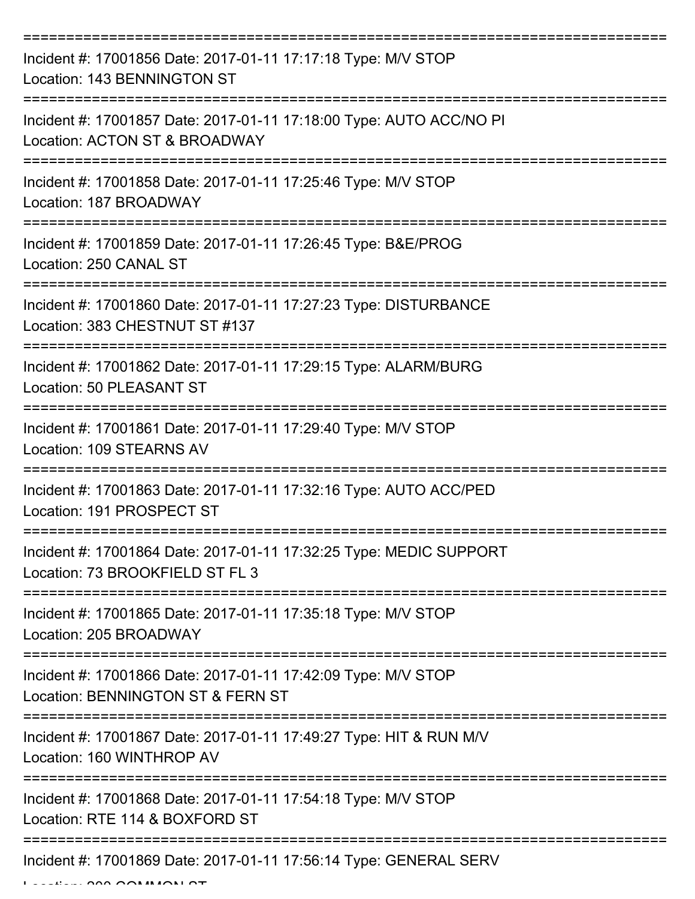| Incident #: 17001856 Date: 2017-01-11 17:17:18 Type: M/V STOP<br>Location: 143 BENNINGTON ST          |
|-------------------------------------------------------------------------------------------------------|
| Incident #: 17001857 Date: 2017-01-11 17:18:00 Type: AUTO ACC/NO PI<br>Location: ACTON ST & BROADWAY  |
| Incident #: 17001858 Date: 2017-01-11 17:25:46 Type: M/V STOP<br>Location: 187 BROADWAY               |
| Incident #: 17001859 Date: 2017-01-11 17:26:45 Type: B&E/PROG<br>Location: 250 CANAL ST               |
| Incident #: 17001860 Date: 2017-01-11 17:27:23 Type: DISTURBANCE<br>Location: 383 CHESTNUT ST #137    |
| Incident #: 17001862 Date: 2017-01-11 17:29:15 Type: ALARM/BURG<br>Location: 50 PLEASANT ST           |
| Incident #: 17001861 Date: 2017-01-11 17:29:40 Type: M/V STOP<br>Location: 109 STEARNS AV             |
| Incident #: 17001863 Date: 2017-01-11 17:32:16 Type: AUTO ACC/PED<br>Location: 191 PROSPECT ST        |
| Incident #: 17001864 Date: 2017-01-11 17:32:25 Type: MEDIC SUPPORT<br>Location: 73 BROOKFIELD ST FL 3 |
| Incident #: 17001865 Date: 2017-01-11 17:35:18 Type: M/V STOP<br>Location: 205 BROADWAY               |
| Incident #: 17001866 Date: 2017-01-11 17:42:09 Type: M/V STOP<br>Location: BENNINGTON ST & FERN ST    |
| Incident #: 17001867 Date: 2017-01-11 17:49:27 Type: HIT & RUN M/V<br>Location: 160 WINTHROP AV       |
| Incident #: 17001868 Date: 2017-01-11 17:54:18 Type: M/V STOP<br>Location: RTE 114 & BOXFORD ST       |
| Incident #: 17001869 Date: 2017-01-11 17:56:14 Type: GENERAL SERV                                     |

 $L = L$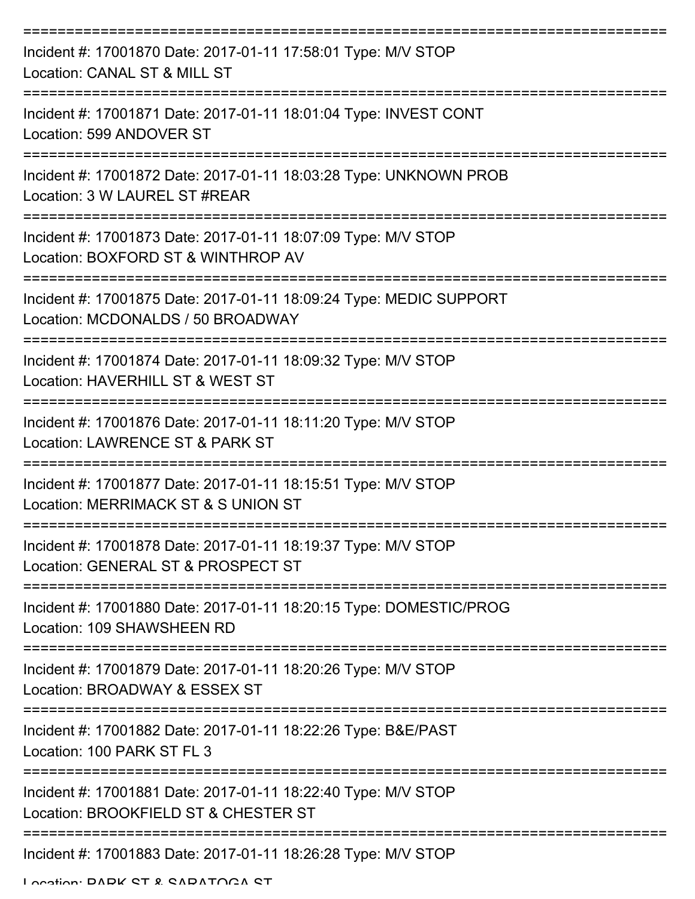| Incident #: 17001870 Date: 2017-01-11 17:58:01 Type: M/V STOP<br>Location: CANAL ST & MILL ST                                         |
|---------------------------------------------------------------------------------------------------------------------------------------|
| Incident #: 17001871 Date: 2017-01-11 18:01:04 Type: INVEST CONT<br>Location: 599 ANDOVER ST                                          |
| Incident #: 17001872 Date: 2017-01-11 18:03:28 Type: UNKNOWN PROB<br>Location: 3 W LAUREL ST #REAR                                    |
| Incident #: 17001873 Date: 2017-01-11 18:07:09 Type: M/V STOP<br>Location: BOXFORD ST & WINTHROP AV                                   |
| Incident #: 17001875 Date: 2017-01-11 18:09:24 Type: MEDIC SUPPORT<br>Location: MCDONALDS / 50 BROADWAY                               |
| Incident #: 17001874 Date: 2017-01-11 18:09:32 Type: M/V STOP<br>Location: HAVERHILL ST & WEST ST                                     |
| Incident #: 17001876 Date: 2017-01-11 18:11:20 Type: M/V STOP<br>Location: LAWRENCE ST & PARK ST                                      |
| Incident #: 17001877 Date: 2017-01-11 18:15:51 Type: M/V STOP<br>Location: MERRIMACK ST & S UNION ST                                  |
| Incident #: 17001878 Date: 2017-01-11 18:19:37 Type: M/V STOP<br>Location: GENERAL ST & PROSPECT ST                                   |
| Incident #: 17001880 Date: 2017-01-11 18:20:15 Type: DOMESTIC/PROG<br>Location: 109 SHAWSHEEN RD                                      |
| Incident #: 17001879 Date: 2017-01-11 18:20:26 Type: M/V STOP<br>Location: BROADWAY & ESSEX ST                                        |
| Incident #: 17001882 Date: 2017-01-11 18:22:26 Type: B&E/PAST<br>Location: 100 PARK ST FL 3                                           |
| Incident #: 17001881 Date: 2017-01-11 18:22:40 Type: M/V STOP<br>Location: BROOKFIELD ST & CHESTER ST                                 |
| ==============================<br>----------------------------------<br>Incident #: 17001883 Date: 2017-01-11 18:26:28 Type: M/V STOP |

Location: PARK ST & SARATOGA ST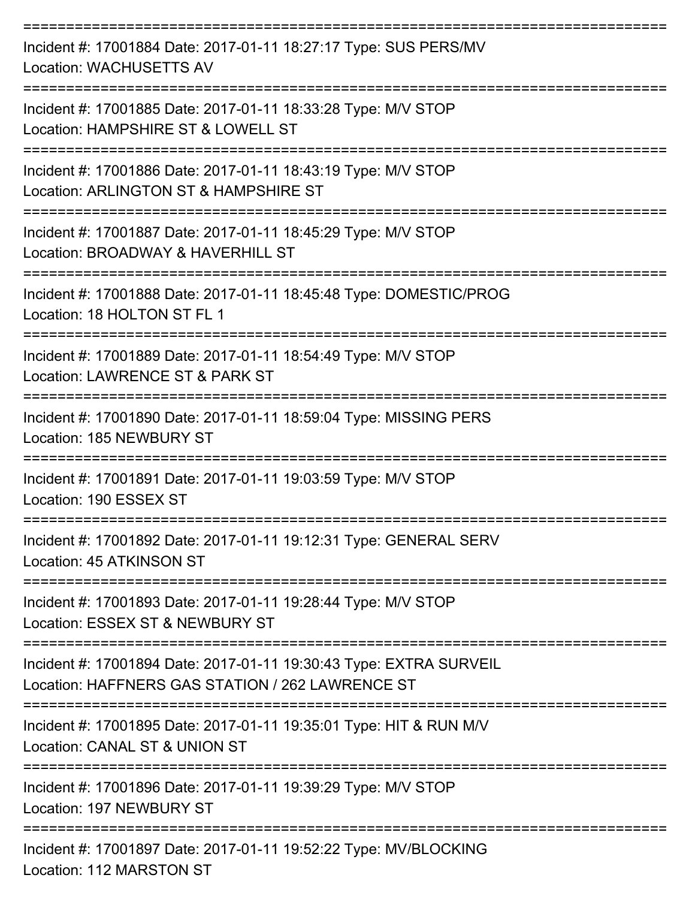| Incident #: 17001884 Date: 2017-01-11 18:27:17 Type: SUS PERS/MV<br><b>Location: WACHUSETTS AV</b>                     |
|------------------------------------------------------------------------------------------------------------------------|
| Incident #: 17001885 Date: 2017-01-11 18:33:28 Type: M/V STOP<br>Location: HAMPSHIRE ST & LOWELL ST                    |
| Incident #: 17001886 Date: 2017-01-11 18:43:19 Type: M/V STOP<br>Location: ARLINGTON ST & HAMPSHIRE ST                 |
| Incident #: 17001887 Date: 2017-01-11 18:45:29 Type: M/V STOP<br>Location: BROADWAY & HAVERHILL ST                     |
| Incident #: 17001888 Date: 2017-01-11 18:45:48 Type: DOMESTIC/PROG<br>Location: 18 HOLTON ST FL 1                      |
| Incident #: 17001889 Date: 2017-01-11 18:54:49 Type: M/V STOP<br>Location: LAWRENCE ST & PARK ST                       |
| Incident #: 17001890 Date: 2017-01-11 18:59:04 Type: MISSING PERS<br>Location: 185 NEWBURY ST                          |
| Incident #: 17001891 Date: 2017-01-11 19:03:59 Type: M/V STOP<br>Location: 190 ESSEX ST                                |
| Incident #: 17001892 Date: 2017-01-11 19:12:31 Type: GENERAL SERV<br>Location: 45 ATKINSON ST                          |
| Incident #: 17001893 Date: 2017-01-11 19:28:44 Type: M/V STOP<br>Location: ESSEX ST & NEWBURY ST                       |
| Incident #: 17001894 Date: 2017-01-11 19:30:43 Type: EXTRA SURVEIL<br>Location: HAFFNERS GAS STATION / 262 LAWRENCE ST |
| Incident #: 17001895 Date: 2017-01-11 19:35:01 Type: HIT & RUN M/V<br>Location: CANAL ST & UNION ST                    |
| Incident #: 17001896 Date: 2017-01-11 19:39:29 Type: M/V STOP<br>Location: 197 NEWBURY ST                              |
| Incident #: 17001897 Date: 2017-01-11 19:52:22 Type: MV/BLOCKING<br>Location: 112 MARSTON ST                           |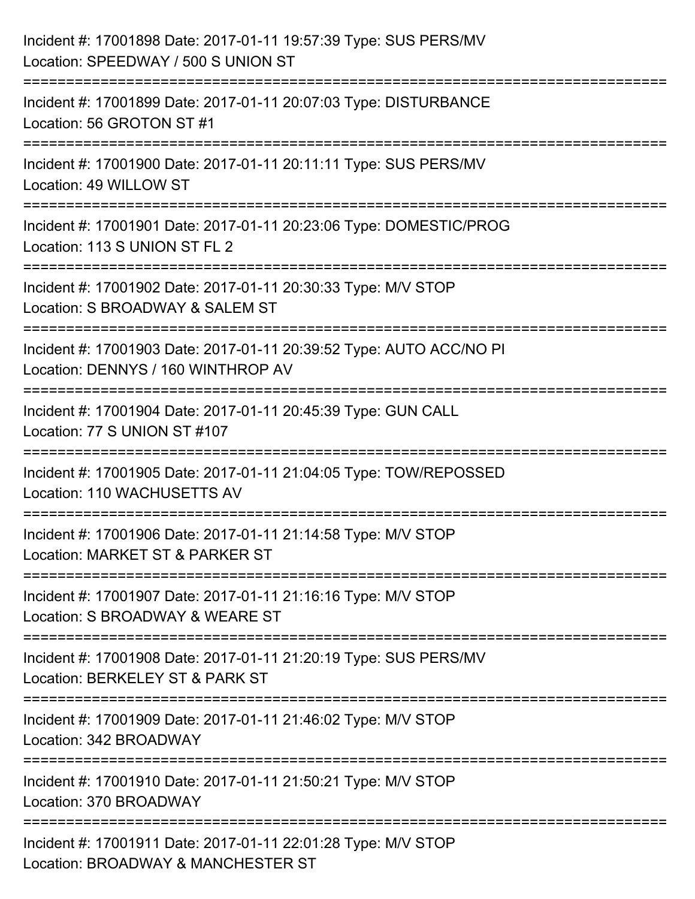| Incident #: 17001898 Date: 2017-01-11 19:57:39 Type: SUS PERS/MV<br>Location: SPEEDWAY / 500 S UNION ST                  |
|--------------------------------------------------------------------------------------------------------------------------|
| :======================<br>Incident #: 17001899 Date: 2017-01-11 20:07:03 Type: DISTURBANCE<br>Location: 56 GROTON ST #1 |
| Incident #: 17001900 Date: 2017-01-11 20:11:11 Type: SUS PERS/MV<br>Location: 49 WILLOW ST                               |
| Incident #: 17001901 Date: 2017-01-11 20:23:06 Type: DOMESTIC/PROG<br>Location: 113 S UNION ST FL 2                      |
| Incident #: 17001902 Date: 2017-01-11 20:30:33 Type: M/V STOP<br>Location: S BROADWAY & SALEM ST<br>=================    |
| Incident #: 17001903 Date: 2017-01-11 20:39:52 Type: AUTO ACC/NO PI<br>Location: DENNYS / 160 WINTHROP AV                |
| Incident #: 17001904 Date: 2017-01-11 20:45:39 Type: GUN CALL<br>Location: 77 S UNION ST #107                            |
| Incident #: 17001905 Date: 2017-01-11 21:04:05 Type: TOW/REPOSSED<br>Location: 110 WACHUSETTS AV                         |
| Incident #: 17001906 Date: 2017-01-11 21:14:58 Type: M/V STOP<br>Location: MARKET ST & PARKER ST                         |
| Incident #: 17001907 Date: 2017-01-11 21:16:16 Type: M/V STOP<br>Location: S BROADWAY & WEARE ST                         |
| Incident #: 17001908 Date: 2017-01-11 21:20:19 Type: SUS PERS/MV<br>Location: BERKELEY ST & PARK ST                      |
| Incident #: 17001909 Date: 2017-01-11 21:46:02 Type: M/V STOP<br>Location: 342 BROADWAY                                  |
| Incident #: 17001910 Date: 2017-01-11 21:50:21 Type: M/V STOP<br>Location: 370 BROADWAY                                  |
| Incident #: 17001911 Date: 2017-01-11 22:01:28 Type: M/V STOP<br>Location: BROADWAY & MANCHESTER ST                      |